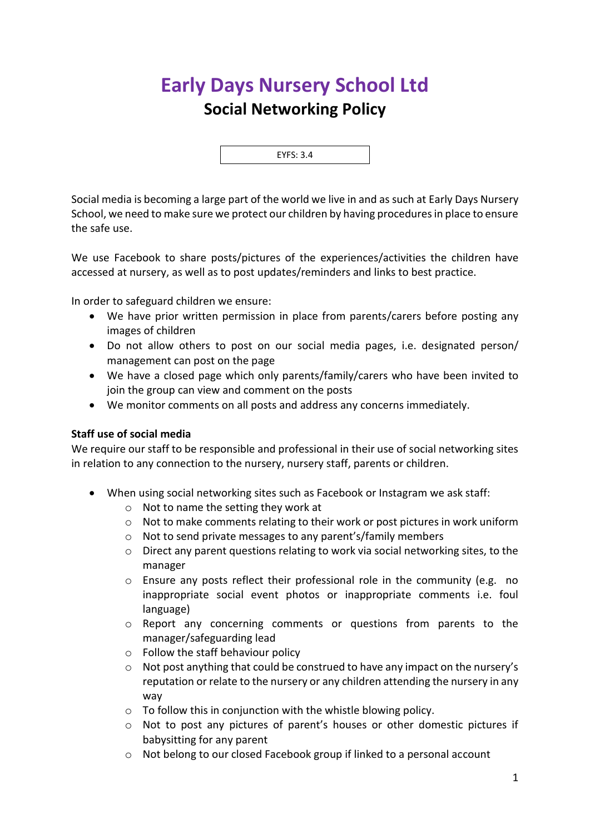## **Early Days Nursery School Ltd Social Networking Policy**



Social media is becoming a large part of the world we live in and as such at Early Days Nursery School, we need to make sure we protect our children by having procedures in place to ensure the safe use.

We use Facebook to share posts/pictures of the experiences/activities the children have accessed at nursery, as well as to post updates/reminders and links to best practice.

In order to safeguard children we ensure:

- We have prior written permission in place from parents/carers before posting any images of children
- Do not allow others to post on our social media pages, i.e. designated person/ management can post on the page
- We have a closed page which only parents/family/carers who have been invited to join the group can view and comment on the posts
- We monitor comments on all posts and address any concerns immediately.

## **Staff use of social media**

We require our staff to be responsible and professional in their use of social networking sites in relation to any connection to the nursery, nursery staff, parents or children.

- When using social networking sites such as Facebook or Instagram we ask staff:
	- o Not to name the setting they work at
	- o Not to make comments relating to their work or post pictures in work uniform
	- o Not to send private messages to any parent's/family members
	- o Direct any parent questions relating to work via social networking sites, to the manager
	- $\circ$  Ensure any posts reflect their professional role in the community (e.g. no inappropriate social event photos or inappropriate comments i.e. foul language)
	- $\circ$  Report any concerning comments or questions from parents to the manager/safeguarding lead
	- o Follow the staff behaviour policy
	- $\circ$  Not post anything that could be construed to have any impact on the nursery's reputation or relate to the nursery or any children attending the nursery in any way
	- $\circ$  To follow this in conjunction with the whistle blowing policy.
	- o Not to post any pictures of parent's houses or other domestic pictures if babysitting for any parent
	- o Not belong to our closed Facebook group if linked to a personal account